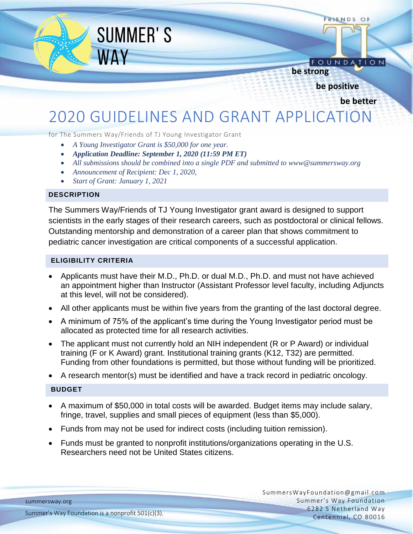FRIENDS OF

FOUNDATION

### **be strong**

**be positive**

**be better**

# 2020 GUIDELINES AND GRANT APPLICATION

for The Summers Way/Friends of TJ Young Investigator Grant

**SUMMER'S** 

**WAY** 

- *A Young Investigator Grant is \$50,000 for one year.*
- *Application Deadline: September 1, 2020 (11:59 PM ET)*
- *All submissions should be combined into a single PDF and submitted to ww[w@summersway.org](mailto:XXXXX@summersway.org)*
- *Announcement of Recipient: Dec 1, 2020,*
- *Start of Grant: January 1, 2021*

#### **DESCRIPTION**

The Summers Way/Friends of TJ Young Investigator grant award is designed to support scientists in the early stages of their research careers, such as postdoctoral or clinical fellows. Outstanding mentorship and demonstration of a career plan that shows commitment to pediatric cancer investigation are critical components of a successful application.

#### **ELIGIBILITY CRITERIA**

- Applicants must have their M.D., Ph.D. or dual M.D., Ph.D. and must not have achieved an appointment higher than Instructor (Assistant Professor level faculty, including Adjuncts at this level, will not be considered).
- All other applicants must be within five years from the granting of the last doctoral degree.
- A minimum of 75% of the applicant's time during the Young Investigator period must be allocated as protected time for all research activities.
- The applicant must not currently hold an NIH independent (R or P Award) or individual training (F or K Award) grant. Institutional training grants (K12, T32) are permitted. Funding from other foundations is permitted, but those without funding will be prioritized.
- A research mentor(s) must be identified and have a track record in pediatric oncology.

#### **BUDGET**

- A maximum of \$50,000 in total costs will be awarded. Budget items may include salary, fringe, travel, supplies and small pieces of equipment (less than \$5,000).
- Funds from may not be used for indirect costs (including tuition remission).
- Funds must be granted to nonprofit institutions/organizations operating in the U.S. Researchers need not be United States citizens.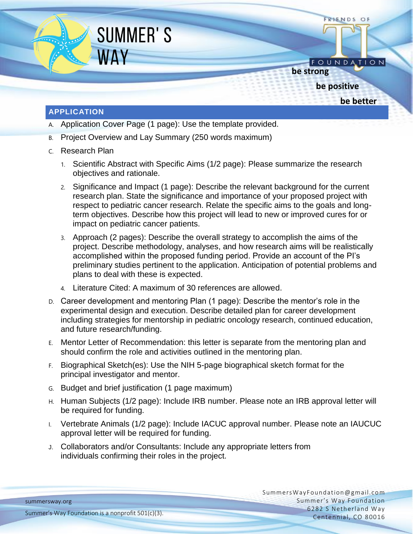

- A. Application Cover Page (1 page): Use the template provided.
- B. Project Overview and Lay Summary (250 words maximum)
- C. Research Plan
	- 1. Scientific Abstract with Specific Aims (1/2 page): Please summarize the research objectives and rationale.
	- 2. Significance and Impact (1 page): Describe the relevant background for the current research plan. State the significance and importance of your proposed project with respect to pediatric cancer research. Relate the specific aims to the goals and longterm objectives. Describe how this project will lead to new or improved cures for or impact on pediatric cancer patients.
	- 3. Approach (2 pages): Describe the overall strategy to accomplish the aims of the project. Describe methodology, analyses, and how research aims will be realistically accomplished within the proposed funding period. Provide an account of the PI's preliminary studies pertinent to the application. Anticipation of potential problems and plans to deal with these is expected.
	- 4. Literature Cited: A maximum of 30 references are allowed.
- D. Career development and mentoring Plan (1 page): Describe the mentor's role in the experimental design and execution. Describe detailed plan for career development including strategies for mentorship in pediatric oncology research, continued education, and future research/funding.
- E. Mentor Letter of Recommendation: this letter is separate from the mentoring plan and should confirm the role and activities outlined in the mentoring plan.
- F. Biographical Sketch(es): Use the NIH 5-page biographical sketch format for the principal investigator and mentor.
- G. Budget and brief justification (1 page maximum)
- H. Human Subjects (1/2 page): Include IRB number. Please note an IRB approval letter will be required for funding.
- I. Vertebrate Animals (1/2 page): Include IACUC approval number. Please note an IAUCUC approval letter will be required for funding.
- J. Collaborators and/or Consultants: Include any appropriate letters from individuals confirming their roles in the project.

summersway.org